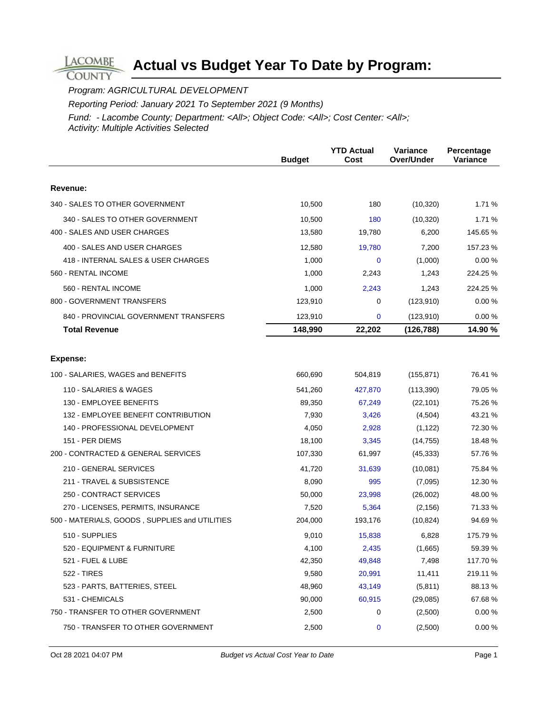Program: AGRICULTURAL DEVELOPMENT

**LACOMBE COUNTY** 

Reporting Period: January 2021 To September 2021 (9 Months)

|                                                | <b>Budget</b> | <b>YTD Actual</b><br>Cost | Variance<br>Over/Under | Percentage<br><b>Variance</b> |
|------------------------------------------------|---------------|---------------------------|------------------------|-------------------------------|
|                                                |               |                           |                        |                               |
| Revenue:                                       |               |                           |                        |                               |
| 340 - SALES TO OTHER GOVERNMENT                | 10,500        | 180                       | (10, 320)              | 1.71 %                        |
| 340 - SALES TO OTHER GOVERNMENT                | 10,500        | 180                       | (10, 320)              | 1.71 %                        |
| 400 - SALES AND USER CHARGES                   | 13,580        | 19,780                    | 6,200                  | 145.65 %                      |
| 400 - SALES AND USER CHARGES                   | 12,580        | 19,780                    | 7,200                  | 157.23 %                      |
| 418 - INTERNAL SALES & USER CHARGES            | 1,000         | $\mathbf 0$               | (1,000)                | 0.00%                         |
| 560 - RENTAL INCOME                            | 1,000         | 2,243                     | 1,243                  | 224.25 %                      |
| 560 - RENTAL INCOME                            | 1,000         | 2,243                     | 1,243                  | 224.25 %                      |
| 800 - GOVERNMENT TRANSFERS                     | 123,910       | 0                         | (123, 910)             | 0.00%                         |
| 840 - PROVINCIAL GOVERNMENT TRANSFERS          | 123,910       | 0                         | (123, 910)             | 0.00%                         |
| <b>Total Revenue</b>                           | 148,990       | 22,202                    | (126, 788)             | 14.90 %                       |
| Expense:                                       |               |                           |                        |                               |
|                                                |               |                           |                        |                               |
| 100 - SALARIES, WAGES and BENEFITS             | 660,690       | 504,819                   | (155, 871)             | 76.41 %                       |
| 110 - SALARIES & WAGES                         | 541,260       | 427,870                   | (113, 390)             | 79.05 %                       |
| 130 - EMPLOYEE BENEFITS                        | 89,350        | 67,249                    | (22, 101)              | 75.26 %                       |
| 132 - EMPLOYEE BENEFIT CONTRIBUTION            | 7,930         | 3,426                     | (4,504)                | 43.21 %                       |
| 140 - PROFESSIONAL DEVELOPMENT                 | 4,050         | 2,928                     | (1, 122)               | 72.30 %                       |
| 151 - PER DIEMS                                | 18,100        | 3,345                     | (14, 755)              | 18.48 %                       |
| 200 - CONTRACTED & GENERAL SERVICES            | 107,330       | 61,997                    | (45, 333)              | 57.76 %                       |
| 210 - GENERAL SERVICES                         | 41,720        | 31,639                    | (10,081)               | 75.84 %                       |
| 211 - TRAVEL & SUBSISTENCE                     | 8,090         | 995                       | (7,095)                | 12.30 %                       |
| 250 - CONTRACT SERVICES                        | 50,000        | 23,998                    | (26,002)               | 48.00 %                       |
| 270 - LICENSES, PERMITS, INSURANCE             | 7,520         | 5,364                     | (2, 156)               | 71.33 %                       |
| 500 - MATERIALS, GOODS, SUPPLIES and UTILITIES | 204,000       | 193,176                   | (10, 824)              | 94.69 %                       |
| 510 - SUPPLIES                                 | 9,010         | 15,838                    | 6,828                  | 175.79 %                      |
| 520 - EQUIPMENT & FURNITURE                    | 4,100         | 2,435                     | (1,665)                | 59.39 %                       |
| 521 - FUEL & LUBE                              | 42,350        | 49,848                    | 7,498                  | 117.70 %                      |
| 522 - TIRES                                    | 9,580         | 20,991                    | 11,411                 | 219.11 %                      |
| 523 - PARTS, BATTERIES, STEEL                  | 48,960        | 43,149                    | (5,811)                | 88.13%                        |
| 531 - CHEMICALS                                | 90,000        | 60,915                    | (29,085)               | 67.68%                        |
| 750 - TRANSFER TO OTHER GOVERNMENT             | 2,500         | 0                         | (2,500)                | 0.00%                         |
| 750 - TRANSFER TO OTHER GOVERNMENT             | 2,500         | 0                         | (2,500)                | 0.00%                         |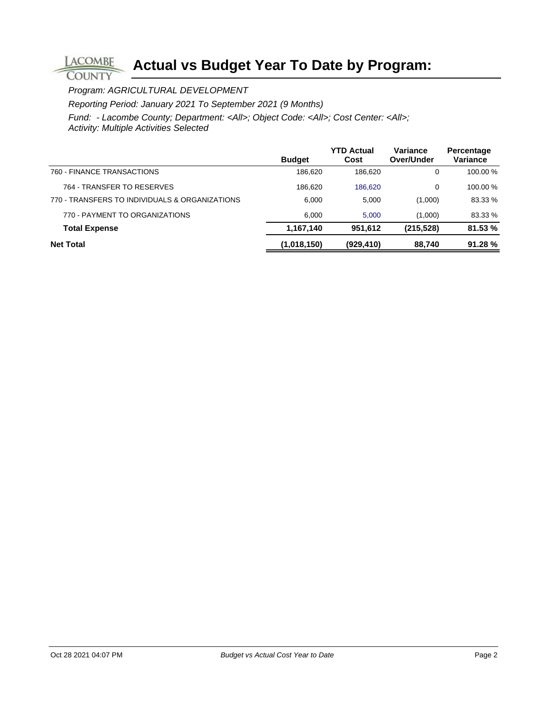Program: AGRICULTURAL DEVELOPMENT

**LACOMBE COUNTY** 

Reporting Period: January 2021 To September 2021 (9 Months)

|                                                | <b>Budget</b> | <b>YTD Actual</b><br>Cost | Variance<br>Over/Under | Percentage<br>Variance |
|------------------------------------------------|---------------|---------------------------|------------------------|------------------------|
| 760 - FINANCE TRANSACTIONS                     | 186.620       | 186.620                   | 0                      | 100.00 %               |
| 764 - TRANSFER TO RESERVES                     | 186.620       | 186,620                   | 0                      | 100.00 %               |
| 770 - TRANSFERS TO INDIVIDUALS & ORGANIZATIONS | 6.000         | 5.000                     | (1,000)                | 83.33 %                |
| 770 - PAYMENT TO ORGANIZATIONS                 | 6.000         | 5.000                     | (1,000)                | 83.33 %                |
| <b>Total Expense</b>                           | 1,167,140     | 951.612                   | (215, 528)             | 81.53 %                |
| <b>Net Total</b>                               | (1,018,150)   | (929, 410)                | 88,740                 | 91.28%                 |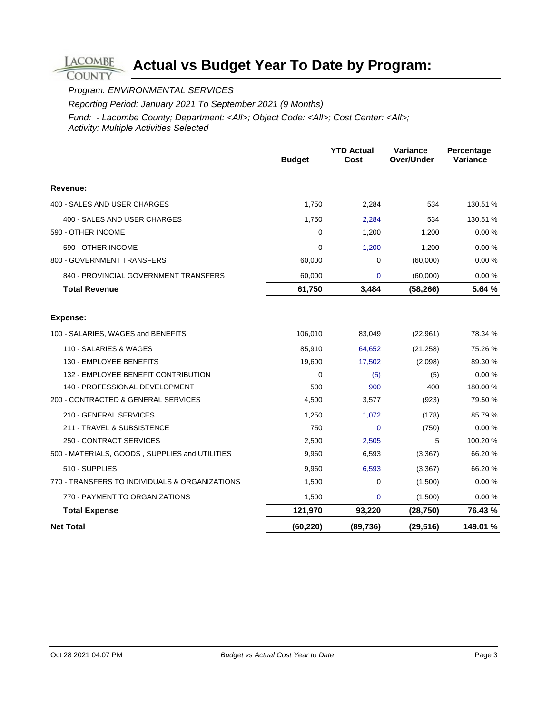### Program: ENVIRONMENTAL SERVICES

**LACOMBE COUNTY** 

Reporting Period: January 2021 To September 2021 (9 Months)

|                                                | <b>Budget</b> | <b>YTD Actual</b><br>Cost | Variance<br>Over/Under | Percentage<br>Variance |
|------------------------------------------------|---------------|---------------------------|------------------------|------------------------|
| Revenue:                                       |               |                           |                        |                        |
|                                                |               |                           |                        |                        |
| 400 - SALES AND USER CHARGES                   | 1,750         | 2,284                     | 534                    | 130.51 %               |
| 400 - SALES AND USER CHARGES                   | 1,750         | 2,284                     | 534                    | 130.51 %               |
| 590 - OTHER INCOME                             | 0             | 1,200                     | 1,200                  | 0.00%                  |
| 590 - OTHER INCOME                             | 0             | 1,200                     | 1,200                  | 0.00%                  |
| 800 - GOVERNMENT TRANSFERS                     | 60,000        | 0                         | (60,000)               | 0.00%                  |
| 840 - PROVINCIAL GOVERNMENT TRANSFERS          | 60,000        | 0                         | (60,000)               | 0.00%                  |
| <b>Total Revenue</b>                           | 61,750        | 3,484                     | (58, 266)              | 5.64 %                 |
|                                                |               |                           |                        |                        |
| Expense:                                       |               |                           |                        |                        |
| 100 - SALARIES, WAGES and BENEFITS             | 106,010       | 83,049                    | (22, 961)              | 78.34 %                |
| 110 - SALARIES & WAGES                         | 85,910        | 64,652                    | (21, 258)              | 75.26 %                |
| 130 - EMPLOYEE BENEFITS                        | 19,600        | 17,502                    | (2,098)                | 89.30 %                |
| 132 - EMPLOYEE BENEFIT CONTRIBUTION            | $\Omega$      | (5)                       | (5)                    | 0.00%                  |
| 140 - PROFESSIONAL DEVELOPMENT                 | 500           | 900                       | 400                    | 180.00%                |
| 200 - CONTRACTED & GENERAL SERVICES            | 4,500         | 3,577                     | (923)                  | 79.50 %                |
| 210 - GENERAL SERVICES                         | 1,250         | 1,072                     | (178)                  | 85.79 %                |
| 211 - TRAVEL & SUBSISTENCE                     | 750           | $\Omega$                  | (750)                  | 0.00%                  |
| 250 - CONTRACT SERVICES                        | 2,500         | 2,505                     | 5                      | 100.20%                |
| 500 - MATERIALS, GOODS, SUPPLIES and UTILITIES | 9,960         | 6,593                     | (3, 367)               | 66.20%                 |
| 510 - SUPPLIES                                 | 9,960         | 6,593                     | (3, 367)               | 66.20%                 |
| 770 - TRANSFERS TO INDIVIDUALS & ORGANIZATIONS | 1,500         | 0                         | (1,500)                | 0.00%                  |
| 770 - PAYMENT TO ORGANIZATIONS                 | 1,500         | 0                         | (1,500)                | 0.00%                  |
| <b>Total Expense</b>                           | 121,970       | 93,220                    | (28, 750)              | 76.43 %                |
| <b>Net Total</b>                               | (60, 220)     | (89, 736)                 | (29, 516)              | 149.01%                |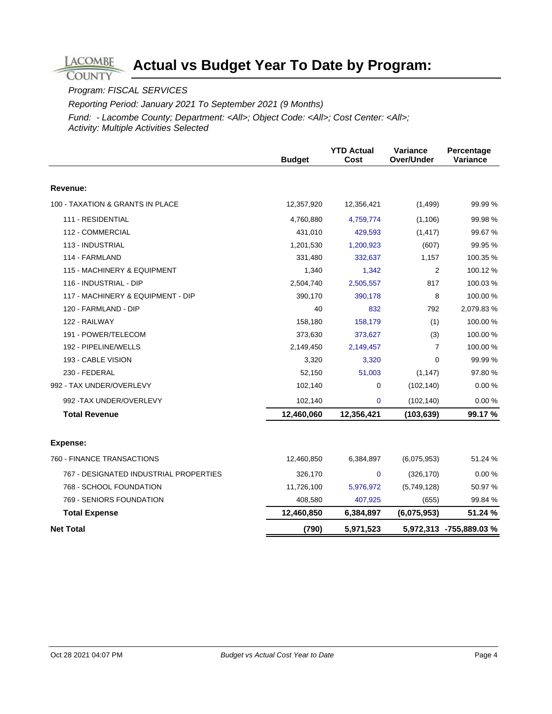### Program: FISCAL SERVICES

**LACOMBE COUNTY** 

Reporting Period: January 2021 To September 2021 (9 Months)

|                                        | <b>Budget</b> | <b>YTD Actual</b><br>Cost | Variance<br>Over/Under | Percentage<br>Variance  |
|----------------------------------------|---------------|---------------------------|------------------------|-------------------------|
| Revenue:                               |               |                           |                        |                         |
| 100 - TAXATION & GRANTS IN PLACE       | 12,357,920    | 12,356,421                | (1, 499)               | 99.99 %                 |
| 111 - RESIDENTIAL                      | 4,760,880     | 4,759,774                 | (1, 106)               | 99.98 %                 |
| 112 - COMMERCIAL                       | 431,010       | 429,593                   | (1, 417)               | 99.67%                  |
| 113 - INDUSTRIAL                       | 1,201,530     | 1,200,923                 | (607)                  | 99.95 %                 |
| 114 - FARMLAND                         | 331,480       | 332,637                   | 1,157                  | 100.35 %                |
| 115 - MACHINERY & EQUIPMENT            | 1,340         | 1,342                     | $\overline{2}$         | 100.12%                 |
| 116 - INDUSTRIAL - DIP                 | 2,504,740     | 2,505,557                 | 817                    | 100.03%                 |
| 117 - MACHINERY & EQUIPMENT - DIP      | 390,170       | 390,178                   | 8                      | 100.00%                 |
| 120 - FARMLAND - DIP                   | 40            | 832                       | 792                    | 2,079.83%               |
| 122 - RAILWAY                          | 158,180       | 158,179                   | (1)                    | 100.00 %                |
| 191 - POWER/TELECOM                    | 373,630       | 373,627                   | (3)                    | 100.00%                 |
| 192 - PIPELINE/WELLS                   | 2,149,450     | 2,149,457                 | $\overline{7}$         | 100.00 %                |
| 193 - CABLE VISION                     | 3,320         | 3,320                     | $\mathbf 0$            | 99.99 %                 |
| 230 - FEDERAL                          | 52,150        | 51,003                    | (1, 147)               | 97.80 %                 |
| 992 - TAX UNDER/OVERLEVY               | 102,140       | 0                         | (102, 140)             | 0.00%                   |
| 992 - TAX UNDER/OVERLEVY               | 102,140       | $\mathbf 0$               | (102, 140)             | 0.00%                   |
| <b>Total Revenue</b>                   | 12,460,060    | 12,356,421                | (103, 639)             | 99.17%                  |
| Expense:                               |               |                           |                        |                         |
| 760 - FINANCE TRANSACTIONS             | 12,460,850    | 6,384,897                 | (6,075,953)            | 51.24 %                 |
| 767 - DESIGNATED INDUSTRIAL PROPERTIES | 326,170       | $\mathbf 0$               | (326, 170)             | 0.00%                   |
| 768 - SCHOOL FOUNDATION                | 11,726,100    | 5,976,972                 | (5,749,128)            | 50.97 %                 |
| 769 - SENIORS FOUNDATION               | 408,580       | 407,925                   | (655)                  | 99.84 %                 |
| <b>Total Expense</b>                   | 12,460,850    | 6,384,897                 | (6,075,953)            | 51.24 %                 |
| <b>Net Total</b>                       | (790)         | 5,971,523                 |                        | 5,972,313 -755,889.03 % |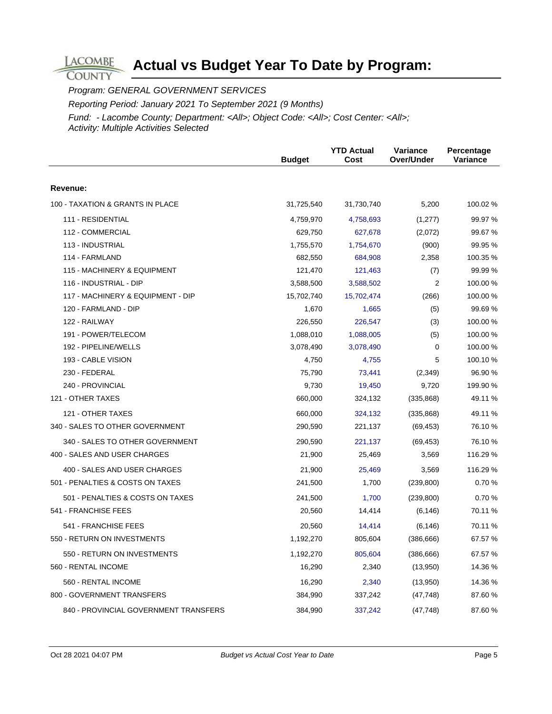Program: GENERAL GOVERNMENT SERVICES

**LACOMBE COUNTY** 

Reporting Period: January 2021 To September 2021 (9 Months)

|                                       | <b>Budget</b> | <b>YTD Actual</b><br>Cost | Variance<br>Over/Under | Percentage<br>Variance |
|---------------------------------------|---------------|---------------------------|------------------------|------------------------|
| Revenue:                              |               |                           |                        |                        |
| 100 - TAXATION & GRANTS IN PLACE      | 31,725,540    | 31,730,740                | 5,200                  | 100.02 %               |
| 111 - RESIDENTIAL                     | 4,759,970     | 4,758,693                 | (1,277)                | 99.97 %                |
| 112 - COMMERCIAL                      | 629,750       | 627,678                   | (2,072)                | 99.67 %                |
| 113 - INDUSTRIAL                      | 1,755,570     | 1,754,670                 | (900)                  | 99.95 %                |
| 114 - FARMLAND                        | 682,550       | 684,908                   | 2,358                  | 100.35 %               |
| 115 - MACHINERY & EQUIPMENT           | 121,470       | 121,463                   | (7)                    | 99.99 %                |
| 116 - INDUSTRIAL - DIP                | 3,588,500     | 3,588,502                 | $\overline{2}$         | 100.00 %               |
| 117 - MACHINERY & EQUIPMENT - DIP     | 15,702,740    | 15,702,474                | (266)                  | 100.00 %               |
| 120 - FARMLAND - DIP                  | 1,670         | 1,665                     | (5)                    | 99.69 %                |
| 122 - RAILWAY                         | 226,550       | 226,547                   | (3)                    | 100.00 %               |
| 191 - POWER/TELECOM                   | 1,088,010     | 1,088,005                 | (5)                    | 100.00 %               |
| 192 - PIPELINE/WELLS                  | 3,078,490     | 3,078,490                 | $\mathbf 0$            | 100.00 %               |
| 193 - CABLE VISION                    | 4,750         | 4,755                     | 5                      | 100.10%                |
| 230 - FEDERAL                         | 75,790        | 73,441                    | (2,349)                | 96.90 %                |
| 240 - PROVINCIAL                      | 9,730         | 19,450                    | 9,720                  | 199.90 %               |
| 121 - OTHER TAXES                     | 660,000       | 324,132                   | (335, 868)             | 49.11 %                |
| 121 - OTHER TAXES                     | 660,000       | 324,132                   | (335, 868)             | 49.11 %                |
| 340 - SALES TO OTHER GOVERNMENT       | 290,590       | 221,137                   | (69, 453)              | 76.10 %                |
| 340 - SALES TO OTHER GOVERNMENT       | 290,590       | 221,137                   | (69, 453)              | 76.10%                 |
| 400 - SALES AND USER CHARGES          | 21,900        | 25,469                    | 3,569                  | 116.29 %               |
| 400 - SALES AND USER CHARGES          | 21,900        | 25,469                    | 3,569                  | 116.29 %               |
| 501 - PENALTIES & COSTS ON TAXES      | 241,500       | 1,700                     | (239, 800)             | 0.70%                  |
| 501 - PENALTIES & COSTS ON TAXES      | 241,500       | 1,700                     | (239, 800)             | 0.70%                  |
| 541 - FRANCHISE FEES                  | 20,560        | 14,414                    | (6, 146)               | 70.11 %                |
| 541 - FRANCHISE FEES                  | 20,560        | 14,414                    | (6, 146)               | 70.11 %                |
| 550 - RETURN ON INVESTMENTS           | 1,192,270     | 805,604                   | (386, 666)             | 67.57 %                |
| 550 - RETURN ON INVESTMENTS           | 1,192,270     | 805,604                   | (386, 666)             | 67.57 %                |
| 560 - RENTAL INCOME                   | 16,290        | 2,340                     | (13,950)               | 14.36 %                |
| 560 - RENTAL INCOME                   | 16,290        | 2,340                     | (13,950)               | 14.36 %                |
| 800 - GOVERNMENT TRANSFERS            | 384,990       | 337,242                   | (47, 748)              | 87.60 %                |
| 840 - PROVINCIAL GOVERNMENT TRANSFERS | 384,990       | 337,242                   | (47, 748)              | 87.60 %                |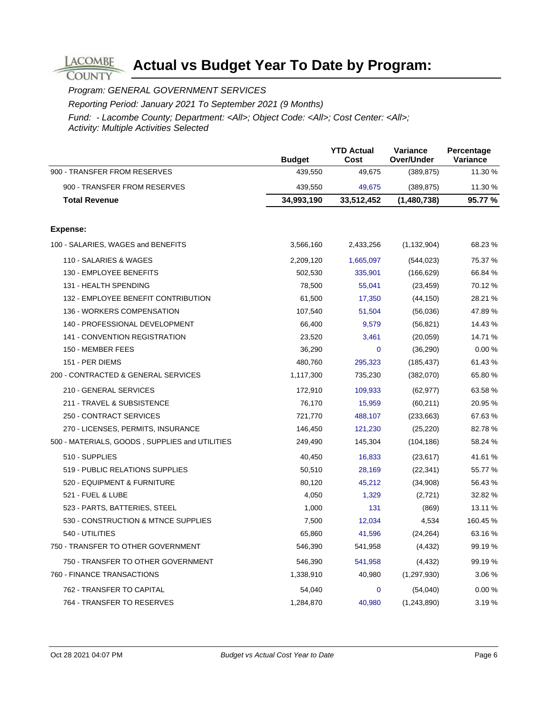Program: GENERAL GOVERNMENT SERVICES

**LACOMBE COUNTY** 

Reporting Period: January 2021 To September 2021 (9 Months)

|                                                | <b>Budget</b> | <b>YTD Actual</b><br>Cost | <b>Variance</b><br>Over/Under | Percentage<br>Variance |
|------------------------------------------------|---------------|---------------------------|-------------------------------|------------------------|
| 900 - TRANSFER FROM RESERVES                   | 439,550       | 49,675                    | (389, 875)                    | 11.30 %                |
| 900 - TRANSFER FROM RESERVES                   | 439,550       | 49,675                    | (389, 875)                    | 11.30 %                |
| <b>Total Revenue</b>                           | 34,993,190    | 33,512,452                | (1,480,738)                   | 95.77 %                |
|                                                |               |                           |                               |                        |
| Expense:                                       |               |                           |                               |                        |
| 100 - SALARIES, WAGES and BENEFITS             | 3,566,160     | 2,433,256                 | (1, 132, 904)                 | 68.23 %                |
| 110 - SALARIES & WAGES                         | 2,209,120     | 1,665,097                 | (544, 023)                    | 75.37 %                |
| 130 - EMPLOYEE BENEFITS                        | 502,530       | 335,901                   | (166, 629)                    | 66.84 %                |
| 131 - HEALTH SPENDING                          | 78,500        | 55,041                    | (23, 459)                     | 70.12 %                |
| 132 - EMPLOYEE BENEFIT CONTRIBUTION            | 61,500        | 17,350                    | (44, 150)                     | 28.21 %                |
| 136 - WORKERS COMPENSATION                     | 107,540       | 51,504                    | (56,036)                      | 47.89%                 |
| 140 - PROFESSIONAL DEVELOPMENT                 | 66,400        | 9,579                     | (56, 821)                     | 14.43 %                |
| 141 - CONVENTION REGISTRATION                  | 23,520        | 3,461                     | (20, 059)                     | 14.71 %                |
| 150 - MEMBER FEES                              | 36,290        | $\mathbf{0}$              | (36, 290)                     | 0.00%                  |
| 151 - PER DIEMS                                | 480,760       | 295,323                   | (185, 437)                    | 61.43%                 |
| 200 - CONTRACTED & GENERAL SERVICES            | 1,117,300     | 735,230                   | (382,070)                     | 65.80 %                |
| 210 - GENERAL SERVICES                         | 172,910       | 109,933                   | (62, 977)                     | 63.58 %                |
| 211 - TRAVEL & SUBSISTENCE                     | 76,170        | 15,959                    | (60, 211)                     | 20.95 %                |
| 250 - CONTRACT SERVICES                        | 721,770       | 488,107                   | (233, 663)                    | 67.63%                 |
| 270 - LICENSES, PERMITS, INSURANCE             | 146,450       | 121,230                   | (25, 220)                     | 82.78%                 |
| 500 - MATERIALS, GOODS, SUPPLIES and UTILITIES | 249,490       | 145,304                   | (104, 186)                    | 58.24 %                |
| 510 - SUPPLIES                                 | 40,450        | 16,833                    | (23, 617)                     | 41.61 %                |
| 519 - PUBLIC RELATIONS SUPPLIES                | 50,510        | 28,169                    | (22, 341)                     | 55.77 %                |
| 520 - EQUIPMENT & FURNITURE                    | 80,120        | 45,212                    | (34,908)                      | 56.43 %                |
| 521 - FUEL & LUBE                              | 4,050         | 1,329                     | (2,721)                       | 32.82 %                |
| 523 - PARTS, BATTERIES, STEEL                  | 1,000         | 131                       | (869)                         | 13.11 %                |
| 530 - CONSTRUCTION & MTNCE SUPPLIES            | 7,500         | 12,034                    | 4,534                         | 160.45 %               |
| 540 - UTILITIES                                | 65,860        | 41,596                    | (24, 264)                     | 63.16 %                |
| 750 - TRANSFER TO OTHER GOVERNMENT             | 546,390       | 541,958                   | (4, 432)                      | 99.19 %                |
| 750 - TRANSFER TO OTHER GOVERNMENT             | 546,390       | 541,958                   | (4, 432)                      | 99.19 %                |
| 760 - FINANCE TRANSACTIONS                     | 1,338,910     | 40,980                    | (1,297,930)                   | 3.06 %                 |
| 762 - TRANSFER TO CAPITAL                      | 54,040        | $\mathbf 0$               | (54,040)                      | 0.00 %                 |
| 764 - TRANSFER TO RESERVES                     | 1,284,870     | 40,980                    | (1,243,890)                   | 3.19 %                 |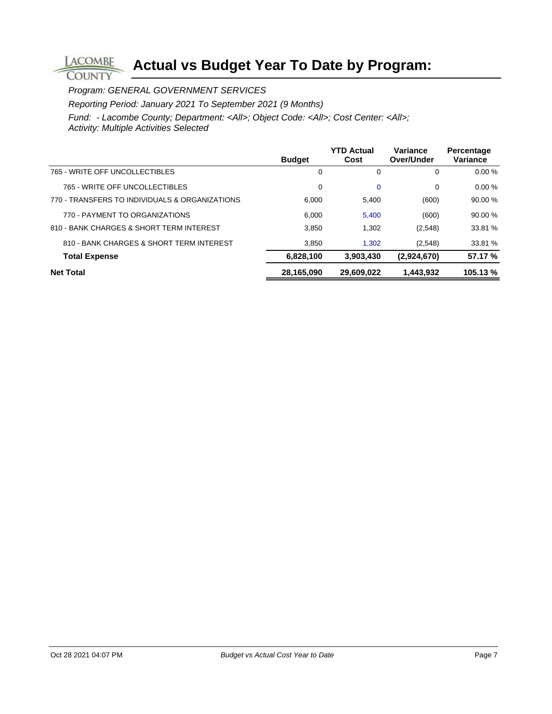Program: GENERAL GOVERNMENT SERVICES

**LACOMBE COUNTY** 

Reporting Period: January 2021 To September 2021 (9 Months)

|                                                | <b>Budget</b> | <b>YTD Actual</b><br>Cost | Variance<br>Over/Under | Percentage<br>Variance |
|------------------------------------------------|---------------|---------------------------|------------------------|------------------------|
| 765 - WRITE OFF UNCOLLECTIBLES                 | 0             | $\Omega$                  | 0                      | 0.00%                  |
| 765 - WRITE OFF UNCOLLECTIBLES                 | 0             | $\mathbf 0$               | 0                      | $0.00 \%$              |
| 770 - TRANSFERS TO INDIVIDUALS & ORGANIZATIONS | 6.000         | 5,400                     | (600)                  | 90.00%                 |
| 770 - PAYMENT TO ORGANIZATIONS                 | 6.000         | 5.400                     | (600)                  | 90.00 %                |
| 810 - BANK CHARGES & SHORT TERM INTEREST       | 3.850         | 1.302                     | (2,548)                | 33.81 %                |
| 810 - BANK CHARGES & SHORT TERM INTEREST       | 3.850         | 1.302                     | (2,548)                | 33.81 %                |
| <b>Total Expense</b>                           | 6,828,100     | 3,903,430                 | (2,924,670)            | 57.17 %                |
| <b>Net Total</b>                               | 28,165,090    | 29,609,022                | 1,443,932              | 105.13%                |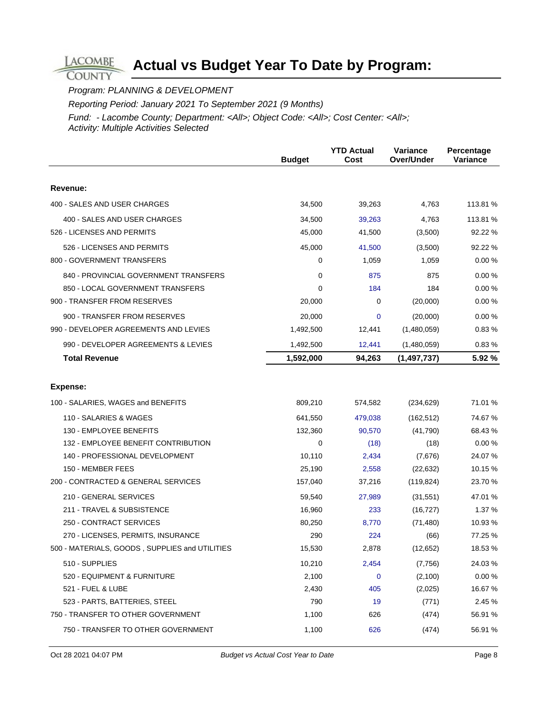Program: PLANNING & DEVELOPMENT

**LACOMBE COUNTY** 

Reporting Period: January 2021 To September 2021 (9 Months)

|                                                | <b>Budget</b> | <b>YTD Actual</b><br>Cost | Variance<br>Over/Under | Percentage<br>Variance |
|------------------------------------------------|---------------|---------------------------|------------------------|------------------------|
|                                                |               |                           |                        |                        |
| Revenue:                                       |               |                           |                        |                        |
| 400 - SALES AND USER CHARGES                   | 34,500        | 39,263                    | 4,763                  | 113.81 %               |
| 400 - SALES AND USER CHARGES                   | 34,500        | 39,263                    | 4,763                  | 113.81 %               |
| 526 - LICENSES AND PERMITS                     | 45,000        | 41,500                    | (3,500)                | 92.22 %                |
| 526 - LICENSES AND PERMITS                     | 45,000        | 41,500                    | (3,500)                | 92.22 %                |
| 800 - GOVERNMENT TRANSFERS                     | 0             | 1,059                     | 1,059                  | 0.00%                  |
| 840 - PROVINCIAL GOVERNMENT TRANSFERS          | 0             | 875                       | 875                    | 0.00%                  |
| 850 - LOCAL GOVERNMENT TRANSFERS               | 0             | 184                       | 184                    | 0.00%                  |
| 900 - TRANSFER FROM RESERVES                   | 20,000        | 0                         | (20,000)               | 0.00%                  |
| 900 - TRANSFER FROM RESERVES                   | 20,000        | 0                         | (20,000)               | 0.00%                  |
| 990 - DEVELOPER AGREEMENTS AND LEVIES          | 1,492,500     | 12,441                    | (1,480,059)            | 0.83%                  |
| 990 - DEVELOPER AGREEMENTS & LEVIES            | 1,492,500     | 12,441                    | (1,480,059)            | 0.83%                  |
| <b>Total Revenue</b>                           | 1,592,000     | 94,263                    | (1,497,737)            | 5.92 %                 |
|                                                |               |                           |                        |                        |
| <b>Expense:</b>                                |               |                           |                        |                        |
| 100 - SALARIES, WAGES and BENEFITS             | 809,210       | 574,582                   | (234, 629)             | 71.01 %                |
| 110 - SALARIES & WAGES                         | 641,550       | 479,038                   | (162, 512)             | 74.67 %                |
| 130 - EMPLOYEE BENEFITS                        | 132,360       | 90,570                    | (41,790)               | 68.43 %                |
| 132 - EMPLOYEE BENEFIT CONTRIBUTION            | 0             | (18)                      | (18)                   | 0.00%                  |
| 140 - PROFESSIONAL DEVELOPMENT                 | 10,110        | 2,434                     | (7,676)                | 24.07%                 |
| 150 - MEMBER FEES                              | 25,190        | 2,558                     | (22, 632)              | 10.15 %                |
| 200 - CONTRACTED & GENERAL SERVICES            | 157,040       | 37,216                    | (119, 824)             | 23.70 %                |
| 210 - GENERAL SERVICES                         | 59,540        | 27,989                    | (31, 551)              | 47.01%                 |
| 211 - TRAVEL & SUBSISTENCE                     | 16,960        | 233                       | (16, 727)              | 1.37 %                 |
| 250 - CONTRACT SERVICES                        | 80,250        | 8,770                     | (71, 480)              | 10.93 %                |
| 270 - LICENSES, PERMITS, INSURANCE             | 290           | 224                       | (66)                   | 77.25 %                |
| 500 - MATERIALS, GOODS, SUPPLIES and UTILITIES | 15,530        | 2,878                     | (12, 652)              | 18.53 %                |
| 510 - SUPPLIES                                 | 10,210        | 2,454                     | (7, 756)               | 24.03%                 |
| 520 - EQUIPMENT & FURNITURE                    | 2,100         | 0                         | (2,100)                | 0.00%                  |
| 521 - FUEL & LUBE                              | 2,430         | 405                       | (2,025)                | 16.67 %                |
| 523 - PARTS, BATTERIES, STEEL                  | 790           | 19                        | (771)                  | 2.45 %                 |
| 750 - TRANSFER TO OTHER GOVERNMENT             | 1,100         | 626                       | (474)                  | 56.91 %                |
| 750 - TRANSFER TO OTHER GOVERNMENT             | 1,100         | 626                       | (474)                  | 56.91 %                |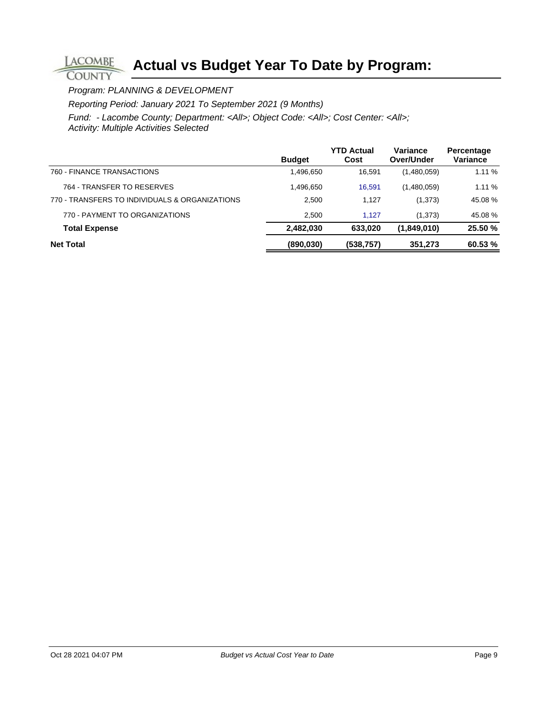Program: PLANNING & DEVELOPMENT

**LACOMBE COUNTY** 

Reporting Period: January 2021 To September 2021 (9 Months)

|                                                | <b>Budget</b> | <b>YTD Actual</b><br>Cost | Variance<br>Over/Under | Percentage<br>Variance |
|------------------------------------------------|---------------|---------------------------|------------------------|------------------------|
| 760 - FINANCE TRANSACTIONS                     | 1,496,650     | 16.591                    | (1,480,059)            | 1.11 %                 |
| 764 - TRANSFER TO RESERVES                     | 1,496,650     | 16,591                    | (1,480,059)            | 1.11 %                 |
| 770 - TRANSFERS TO INDIVIDUALS & ORGANIZATIONS | 2,500         | 1.127                     | (1,373)                | 45.08%                 |
| 770 - PAYMENT TO ORGANIZATIONS                 | 2.500         | 1.127                     | (1,373)                | 45.08%                 |
| <b>Total Expense</b>                           | 2,482,030     | 633.020                   | (1,849,010)            | 25.50 %                |
| <b>Net Total</b>                               | (890, 030)    | (538, 757)                | 351,273                | 60.53 %                |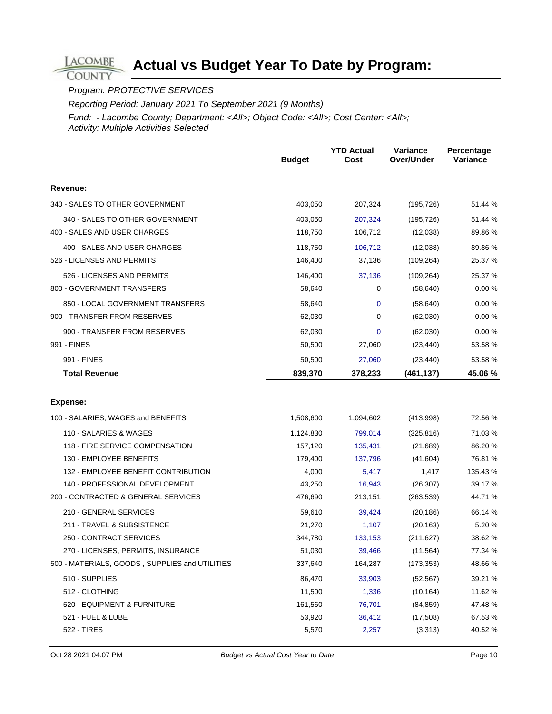### Program: PROTECTIVE SERVICES

**LACOMBE COUNTY** 

Reporting Period: January 2021 To September 2021 (9 Months)

|                                                | <b>Budget</b> | <b>YTD Actual</b><br>Cost | Variance<br>Over/Under | Percentage<br>Variance |
|------------------------------------------------|---------------|---------------------------|------------------------|------------------------|
|                                                |               |                           |                        |                        |
| Revenue:                                       |               |                           |                        |                        |
| 340 - SALES TO OTHER GOVERNMENT                | 403,050       | 207,324                   | (195, 726)             | 51.44 %                |
| 340 - SALES TO OTHER GOVERNMENT                | 403,050       | 207,324                   | (195, 726)             | 51.44 %                |
| 400 - SALES AND USER CHARGES                   | 118,750       | 106,712                   | (12,038)               | 89.86 %                |
| 400 - SALES AND USER CHARGES                   | 118,750       | 106,712                   | (12,038)               | 89.86 %                |
| 526 - LICENSES AND PERMITS                     | 146,400       | 37,136                    | (109, 264)             | 25.37 %                |
| 526 - LICENSES AND PERMITS                     | 146,400       | 37,136                    | (109, 264)             | 25.37 %                |
| 800 - GOVERNMENT TRANSFERS                     | 58,640        | 0                         | (58, 640)              | 0.00%                  |
| 850 - LOCAL GOVERNMENT TRANSFERS               | 58,640        | 0                         | (58, 640)              | 0.00%                  |
| 900 - TRANSFER FROM RESERVES                   | 62,030        | 0                         | (62,030)               | 0.00%                  |
| 900 - TRANSFER FROM RESERVES                   | 62,030        | 0                         | (62,030)               | 0.00%                  |
| 991 - FINES                                    | 50,500        | 27,060                    | (23, 440)              | 53.58 %                |
| 991 - FINES                                    | 50,500        | 27,060                    | (23, 440)              | 53.58 %                |
| <b>Total Revenue</b>                           | 839,370       | 378,233                   | (461, 137)             | 45.06%                 |
| <b>Expense:</b>                                |               |                           |                        |                        |
| 100 - SALARIES, WAGES and BENEFITS             | 1,508,600     | 1,094,602                 | (413,998)              | 72.56 %                |
| 110 - SALARIES & WAGES                         | 1,124,830     | 799,014                   | (325, 816)             | 71.03%                 |
| 118 - FIRE SERVICE COMPENSATION                | 157,120       | 135,431                   | (21, 689)              | 86.20%                 |
| 130 - EMPLOYEE BENEFITS                        | 179,400       | 137,796                   | (41, 604)              | 76.81 %                |
| 132 - EMPLOYEE BENEFIT CONTRIBUTION            | 4,000         | 5,417                     | 1,417                  | 135.43 %               |
| 140 - PROFESSIONAL DEVELOPMENT                 | 43,250        | 16,943                    | (26, 307)              | 39.17 %                |
| 200 - CONTRACTED & GENERAL SERVICES            | 476,690       | 213,151                   | (263, 539)             | 44.71 %                |
| 210 - GENERAL SERVICES                         | 59,610        | 39,424                    | (20, 186)              | 66.14 %                |
| 211 - TRAVEL & SUBSISTENCE                     | 21,270        | 1,107                     | (20, 163)              | 5.20 %                 |
| 250 - CONTRACT SERVICES                        | 344,780       | 133,153                   | (211, 627)             | 38.62 %                |
| 270 - LICENSES, PERMITS, INSURANCE             | 51,030        | 39,466                    | (11, 564)              | 77.34 %                |
| 500 - MATERIALS, GOODS, SUPPLIES and UTILITIES | 337,640       | 164,287                   | (173, 353)             | 48.66 %                |
| 510 - SUPPLIES                                 | 86,470        | 33,903                    | (52, 567)              | 39.21 %                |
| 512 - CLOTHING                                 | 11,500        | 1,336                     | (10, 164)              | 11.62 %                |
| 520 - EQUIPMENT & FURNITURE                    | 161,560       | 76,701                    | (84, 859)              | 47.48%                 |
| 521 - FUEL & LUBE                              | 53,920        | 36,412                    | (17,508)               | 67.53 %                |
| 522 - TIRES                                    | 5,570         | 2,257                     | (3,313)                | 40.52 %                |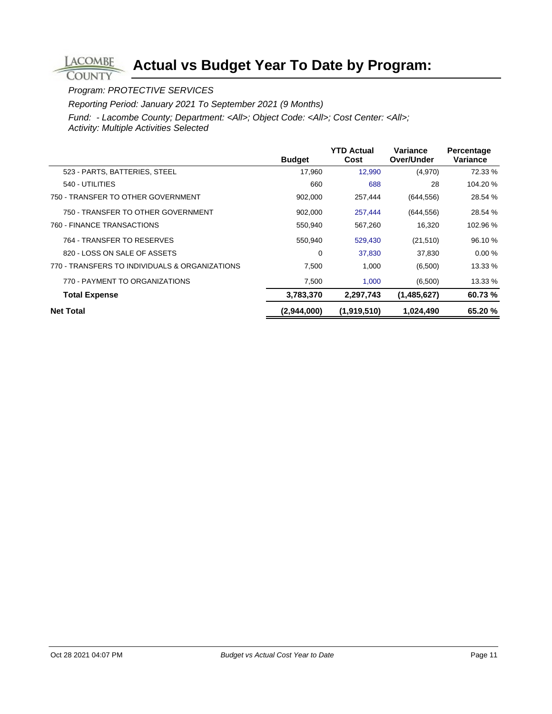### Program: PROTECTIVE SERVICES

**LACOMBE COUNTY** 

Reporting Period: January 2021 To September 2021 (9 Months)

|                                                | <b>Budget</b> | <b>YTD Actual</b><br>Cost | Variance<br>Over/Under | Percentage<br>Variance |
|------------------------------------------------|---------------|---------------------------|------------------------|------------------------|
| 523 - PARTS, BATTERIES, STEEL                  | 17,960        | 12,990                    | (4,970)                | 72.33 %                |
| 540 - UTILITIES                                | 660           | 688                       | 28                     | 104.20 %               |
| 750 - TRANSFER TO OTHER GOVERNMENT             | 902,000       | 257,444                   | (644, 556)             | 28.54 %                |
| 750 - TRANSFER TO OTHER GOVERNMENT             | 902,000       | 257,444                   | (644, 556)             | 28.54 %                |
| 760 - FINANCE TRANSACTIONS                     | 550,940       | 567,260                   | 16,320                 | 102.96 %               |
| 764 - TRANSFER TO RESERVES                     | 550,940       | 529,430                   | (21, 510)              | 96.10 %                |
| 820 - LOSS ON SALE OF ASSETS                   | 0             | 37,830                    | 37.830                 | 0.00%                  |
| 770 - TRANSFERS TO INDIVIDUALS & ORGANIZATIONS | 7,500         | 1,000                     | (6,500)                | 13.33 %                |
| 770 - PAYMENT TO ORGANIZATIONS                 | 7,500         | 1,000                     | (6,500)                | 13.33 %                |
| <b>Total Expense</b>                           | 3,783,370     | 2,297,743                 | (1,485,627)            | 60.73%                 |
| <b>Net Total</b>                               | (2,944,000)   | (1,919,510)               | 1,024,490              | 65.20%                 |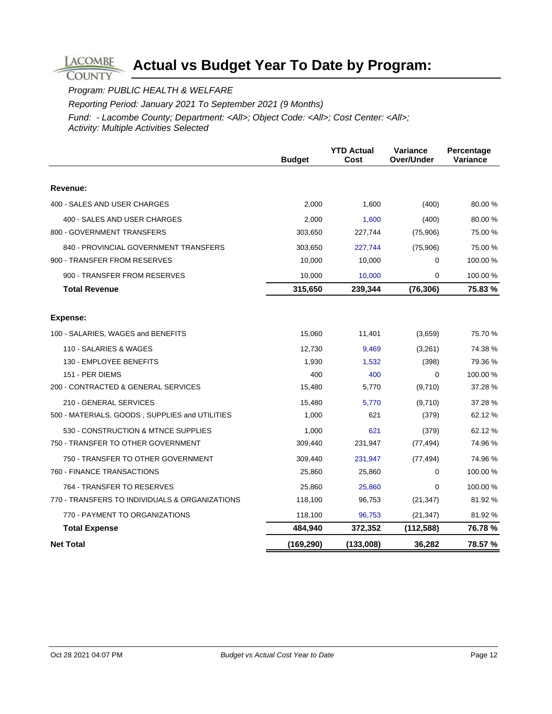Program: PUBLIC HEALTH & WELFARE

**LACOMBE COUNTY** 

Reporting Period: January 2021 To September 2021 (9 Months)

|                                                | <b>Budget</b> | <b>YTD Actual</b><br>Cost | Variance<br>Over/Under | Percentage<br>Variance |
|------------------------------------------------|---------------|---------------------------|------------------------|------------------------|
| Revenue:                                       |               |                           |                        |                        |
| 400 - SALES AND USER CHARGES                   | 2,000         | 1,600                     | (400)                  | 80.00 %                |
| 400 - SALES AND USER CHARGES                   | 2,000         | 1,600                     | (400)                  | 80.00 %                |
| 800 - GOVERNMENT TRANSFERS                     | 303,650       | 227,744                   | (75,906)               | 75.00 %                |
| 840 - PROVINCIAL GOVERNMENT TRANSFERS          | 303,650       | 227,744                   | (75,906)               | 75.00 %                |
| 900 - TRANSFER FROM RESERVES                   | 10,000        | 10,000                    | 0                      | 100.00 %               |
| 900 - TRANSFER FROM RESERVES                   | 10,000        | 10,000                    | 0                      | 100.00 %               |
| <b>Total Revenue</b>                           | 315,650       | 239,344                   | (76, 306)              | 75.83%                 |
|                                                |               |                           |                        |                        |
| Expense:                                       |               |                           |                        |                        |
| 100 - SALARIES, WAGES and BENEFITS             | 15,060        | 11,401                    | (3,659)                | 75.70 %                |
| 110 - SALARIES & WAGES                         | 12.730        | 9,469                     | (3,261)                | 74.38 %                |
| 130 - EMPLOYEE BENEFITS                        | 1,930         | 1,532                     | (398)                  | 79.36 %                |
| 151 - PER DIEMS                                | 400           | 400                       | $\Omega$               | 100.00 %               |
| 200 - CONTRACTED & GENERAL SERVICES            | 15,480        | 5,770                     | (9,710)                | 37.28 %                |
| 210 - GENERAL SERVICES                         | 15,480        | 5,770                     | (9,710)                | 37.28 %                |
| 500 - MATERIALS, GOODS, SUPPLIES and UTILITIES | 1,000         | 621                       | (379)                  | 62.12 %                |
| 530 - CONSTRUCTION & MTNCE SUPPLIES            | 1,000         | 621                       | (379)                  | 62.12 %                |
| 750 - TRANSFER TO OTHER GOVERNMENT             | 309,440       | 231,947                   | (77, 494)              | 74.96 %                |
| 750 - TRANSFER TO OTHER GOVERNMENT             | 309,440       | 231,947                   | (77, 494)              | 74.96 %                |
| 760 - FINANCE TRANSACTIONS                     | 25,860        | 25,860                    | 0                      | 100.00 %               |
| 764 - TRANSFER TO RESERVES                     | 25,860        | 25,860                    | $\Omega$               | 100.00%                |
| 770 - TRANSFERS TO INDIVIDUALS & ORGANIZATIONS | 118,100       | 96,753                    | (21, 347)              | 81.92 %                |
| 770 - PAYMENT TO ORGANIZATIONS                 | 118,100       | 96,753                    | (21, 347)              | 81.92 %                |
| <b>Total Expense</b>                           | 484,940       | 372,352                   | (112, 588)             | 76.78 %                |
| <b>Net Total</b>                               | (169, 290)    | (133,008)                 | 36,282                 | 78.57 %                |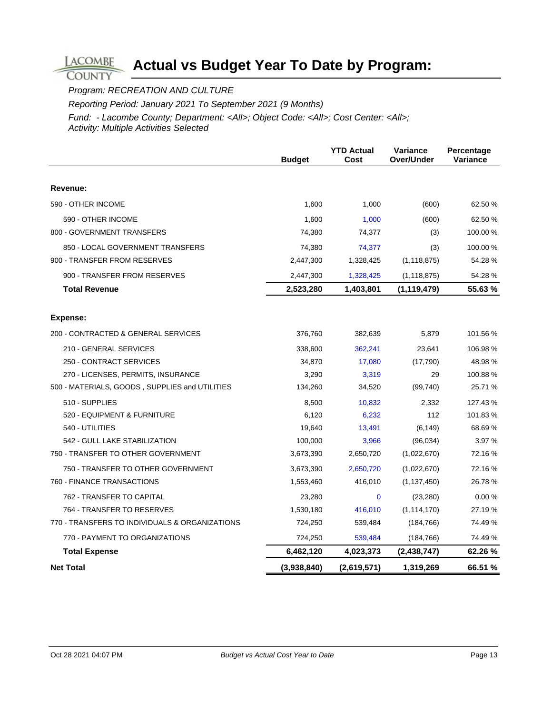Program: RECREATION AND CULTURE

**LACOMBE COUNTY** 

Reporting Period: January 2021 To September 2021 (9 Months)

|                                                | <b>Budget</b> | <b>YTD Actual</b><br>Cost | Variance<br>Over/Under | Percentage<br>Variance |
|------------------------------------------------|---------------|---------------------------|------------------------|------------------------|
|                                                |               |                           |                        |                        |
| Revenue:                                       |               |                           |                        |                        |
| 590 - OTHER INCOME                             | 1,600         | 1,000                     | (600)                  | 62.50 %                |
| 590 - OTHER INCOME                             | 1,600         | 1,000                     | (600)                  | 62.50 %                |
| 800 - GOVERNMENT TRANSFERS                     | 74,380        | 74,377                    | (3)                    | 100.00 %               |
| 850 - LOCAL GOVERNMENT TRANSFERS               | 74,380        | 74,377                    | (3)                    | 100.00 %               |
| 900 - TRANSFER FROM RESERVES                   | 2,447,300     | 1,328,425                 | (1, 118, 875)          | 54.28 %                |
| 900 - TRANSFER FROM RESERVES                   | 2,447,300     | 1,328,425                 | (1, 118, 875)          | 54.28 %                |
| <b>Total Revenue</b>                           | 2,523,280     | 1,403,801                 | (1, 119, 479)          | 55.63 %                |
| <b>Expense:</b>                                |               |                           |                        |                        |
| 200 - CONTRACTED & GENERAL SERVICES            | 376,760       | 382,639                   | 5,879                  | 101.56 %               |
| 210 - GENERAL SERVICES                         | 338,600       | 362,241                   | 23,641                 | 106.98%                |
| 250 - CONTRACT SERVICES                        | 34,870        | 17,080                    | (17,790)               | 48.98%                 |
| 270 - LICENSES, PERMITS, INSURANCE             | 3,290         | 3,319                     | 29                     | 100.88%                |
| 500 - MATERIALS, GOODS, SUPPLIES and UTILITIES | 134,260       | 34,520                    | (99, 740)              | 25.71 %                |
| 510 - SUPPLIES                                 | 8,500         | 10,832                    | 2,332                  | 127.43 %               |
| 520 - EQUIPMENT & FURNITURE                    | 6,120         | 6,232                     | 112                    | 101.83%                |
| 540 - UTILITIES                                | 19,640        | 13,491                    | (6, 149)               | 68.69%                 |
| 542 - GULL LAKE STABILIZATION                  | 100,000       | 3,966                     | (96,034)               | 3.97 %                 |
| 750 - TRANSFER TO OTHER GOVERNMENT             | 3,673,390     | 2,650,720                 | (1,022,670)            | 72.16 %                |
| 750 - TRANSFER TO OTHER GOVERNMENT             | 3,673,390     | 2,650,720                 | (1,022,670)            | 72.16 %                |
| 760 - FINANCE TRANSACTIONS                     | 1,553,460     | 416,010                   | (1, 137, 450)          | 26.78 %                |
| 762 - TRANSFER TO CAPITAL                      | 23,280        | $\mathbf 0$               | (23, 280)              | 0.00%                  |
| 764 - TRANSFER TO RESERVES                     | 1,530,180     | 416,010                   | (1, 114, 170)          | 27.19 %                |
| 770 - TRANSFERS TO INDIVIDUALS & ORGANIZATIONS | 724,250       | 539,484                   | (184, 766)             | 74.49 %                |
| 770 - PAYMENT TO ORGANIZATIONS                 | 724,250       | 539,484                   | (184, 766)             | 74.49 %                |
| <b>Total Expense</b>                           | 6,462,120     | 4,023,373                 | (2, 438, 747)          | 62.26 %                |
| <b>Net Total</b>                               | (3,938,840)   | (2,619,571)               | 1,319,269              | 66.51 %                |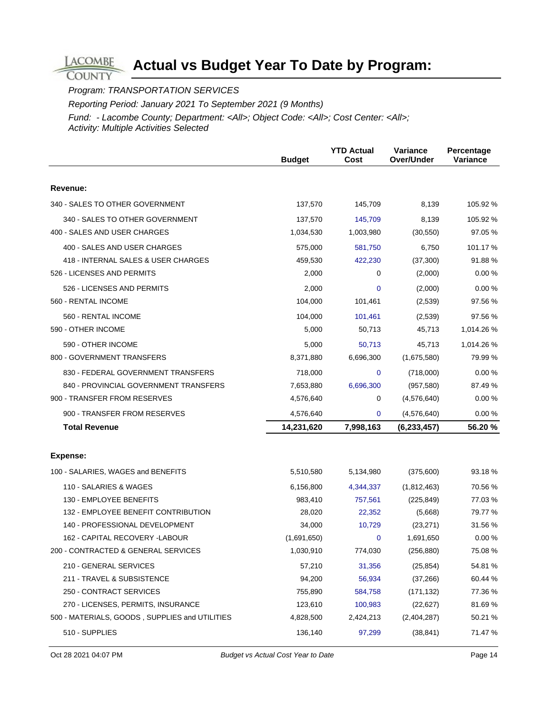Program: TRANSPORTATION SERVICES

**LACOMBE COUNTY** 

Reporting Period: January 2021 To September 2021 (9 Months)

|                                                | <b>Budget</b> | <b>YTD Actual</b><br>Cost | Variance<br>Over/Under | Percentage<br>Variance |
|------------------------------------------------|---------------|---------------------------|------------------------|------------------------|
| Revenue:                                       |               |                           |                        |                        |
|                                                |               |                           |                        |                        |
| 340 - SALES TO OTHER GOVERNMENT                | 137,570       | 145,709                   | 8,139                  | 105.92 %               |
| 340 - SALES TO OTHER GOVERNMENT                | 137,570       | 145,709                   | 8,139                  | 105.92 %               |
| 400 - SALES AND USER CHARGES                   | 1,034,530     | 1,003,980                 | (30, 550)              | 97.05 %                |
| 400 - SALES AND USER CHARGES                   | 575,000       | 581,750                   | 6,750                  | 101.17 %               |
| 418 - INTERNAL SALES & USER CHARGES            | 459,530       | 422,230                   | (37, 300)              | 91.88%                 |
| 526 - LICENSES AND PERMITS                     | 2,000         | 0                         | (2,000)                | 0.00%                  |
| 526 - LICENSES AND PERMITS                     | 2,000         | $\mathbf 0$               | (2,000)                | 0.00%                  |
| 560 - RENTAL INCOME                            | 104,000       | 101,461                   | (2,539)                | 97.56 %                |
| 560 - RENTAL INCOME                            | 104,000       | 101,461                   | (2,539)                | 97.56 %                |
| 590 - OTHER INCOME                             | 5,000         | 50,713                    | 45,713                 | 1,014.26 %             |
| 590 - OTHER INCOME                             | 5,000         | 50,713                    | 45,713                 | 1,014.26%              |
| 800 - GOVERNMENT TRANSFERS                     | 8,371,880     | 6,696,300                 | (1,675,580)            | 79.99 %                |
| 830 - FEDERAL GOVERNMENT TRANSFERS             | 718,000       | $\mathbf 0$               | (718,000)              | 0.00%                  |
| 840 - PROVINCIAL GOVERNMENT TRANSFERS          | 7,653,880     | 6,696,300                 | (957, 580)             | 87.49 %                |
| 900 - TRANSFER FROM RESERVES                   | 4,576,640     | 0                         | (4,576,640)            | 0.00%                  |
| 900 - TRANSFER FROM RESERVES                   | 4,576,640     | 0                         | (4,576,640)            | 0.00%                  |
| <b>Total Revenue</b>                           | 14,231,620    | 7,998,163                 | (6, 233, 457)          | 56.20%                 |
|                                                |               |                           |                        |                        |
| Expense:                                       |               |                           |                        |                        |
| 100 - SALARIES, WAGES and BENEFITS             | 5,510,580     | 5,134,980                 | (375,600)              | 93.18%                 |
| 110 - SALARIES & WAGES                         | 6,156,800     | 4,344,337                 | (1,812,463)            | 70.56 %                |
| 130 - EMPLOYEE BENEFITS                        | 983,410       | 757,561                   | (225, 849)             | 77.03 %                |
| 132 - EMPLOYEE BENEFIT CONTRIBUTION            | 28,020        | 22,352                    | (5,668)                | 79.77 %                |
| 140 - PROFESSIONAL DEVELOPMENT                 | 34,000        | 10,729                    | (23, 271)              | 31.56 %                |
| 162 - CAPITAL RECOVERY -LABOUR                 | (1,691,650)   | $\mathbf 0$               | 1,691,650              | 0.00%                  |
| 200 - CONTRACTED & GENERAL SERVICES            | 1,030,910     | 774,030                   | (256, 880)             | 75.08 %                |
| 210 - GENERAL SERVICES                         | 57,210        | 31,356                    | (25, 854)              | 54.81 %                |
| 211 - TRAVEL & SUBSISTENCE                     | 94,200        | 56,934                    | (37, 266)              | 60.44 %                |
| 250 - CONTRACT SERVICES                        | 755,890       | 584,758                   | (171, 132)             | 77.36 %                |
| 270 - LICENSES, PERMITS, INSURANCE             | 123,610       | 100,983                   | (22, 627)              | 81.69%                 |
| 500 - MATERIALS, GOODS, SUPPLIES and UTILITIES | 4,828,500     | 2,424,213                 | (2,404,287)            | 50.21 %                |
| 510 - SUPPLIES                                 | 136,140       | 97,299                    | (38, 841)              | 71.47 %                |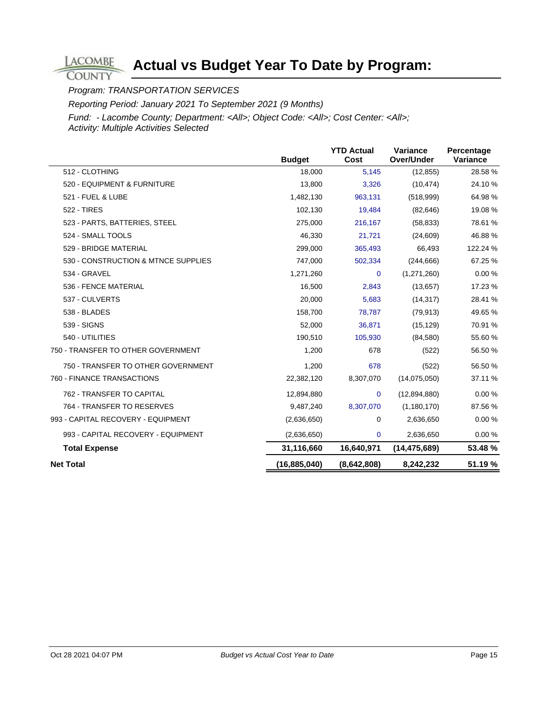Program: TRANSPORTATION SERVICES

**LACOMBE COUNTY** 

Reporting Period: January 2021 To September 2021 (9 Months)

|                                     | <b>Budget</b>  | <b>YTD Actual</b><br>Cost | Variance<br>Over/Under | Percentage<br>Variance |
|-------------------------------------|----------------|---------------------------|------------------------|------------------------|
| 512 - CLOTHING                      | 18,000         | 5,145                     | (12, 855)              | 28.58 %                |
| 520 - EQUIPMENT & FURNITURE         | 13,800         | 3,326                     | (10, 474)              | 24.10 %                |
| 521 - FUEL & LUBE                   | 1,482,130      | 963,131                   | (518,999)              | 64.98 %                |
| 522 - TIRES                         | 102,130        | 19,484                    | (82, 646)              | 19.08 %                |
| 523 - PARTS, BATTERIES, STEEL       | 275,000        | 216,167                   | (58, 833)              | 78.61 %                |
| 524 - SMALL TOOLS                   | 46,330         | 21,721                    | (24, 609)              | 46.88%                 |
| 529 - BRIDGE MATERIAL               | 299,000        | 365,493                   | 66,493                 | 122.24 %               |
| 530 - CONSTRUCTION & MTNCE SUPPLIES | 747,000        | 502,334                   | (244, 666)             | 67.25 %                |
| 534 - GRAVEL                        | 1,271,260      | $\Omega$                  | (1,271,260)            | $0.00 \%$              |
| 536 - FENCE MATERIAL                | 16,500         | 2,843                     | (13, 657)              | 17.23 %                |
| 537 - CULVERTS                      | 20,000         | 5,683                     | (14, 317)              | 28.41 %                |
| 538 - BLADES                        | 158,700        | 78,787                    | (79, 913)              | 49.65 %                |
| 539 - SIGNS                         | 52,000         | 36,871                    | (15, 129)              | 70.91 %                |
| 540 - UTILITIES                     | 190,510        | 105,930                   | (84,580)               | 55.60 %                |
| 750 - TRANSFER TO OTHER GOVERNMENT  | 1,200          | 678                       | (522)                  | 56.50 %                |
| 750 - TRANSFER TO OTHER GOVERNMENT  | 1,200          | 678                       | (522)                  | 56.50 %                |
| 760 - FINANCE TRANSACTIONS          | 22,382,120     | 8,307,070                 | (14,075,050)           | 37.11 %                |
| 762 - TRANSFER TO CAPITAL           | 12,894,880     | $\mathbf 0$               | (12,894,880)           | 0.00%                  |
| 764 - TRANSFER TO RESERVES          | 9,487,240      | 8,307,070                 | (1, 180, 170)          | 87.56 %                |
| 993 - CAPITAL RECOVERY - EQUIPMENT  | (2,636,650)    | 0                         | 2,636,650              | 0.00%                  |
| 993 - CAPITAL RECOVERY - EQUIPMENT  | (2,636,650)    | $\mathbf 0$               | 2,636,650              | 0.00%                  |
| <b>Total Expense</b>                | 31,116,660     | 16,640,971                | (14, 475, 689)         | 53.48 %                |
| <b>Net Total</b>                    | (16, 885, 040) | (8,642,808)               | 8,242,232              | 51.19 %                |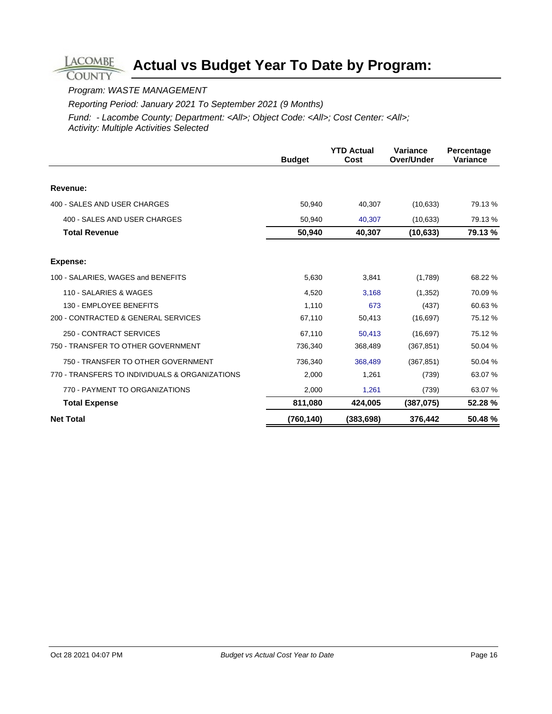### Program: WASTE MANAGEMENT

**LACOMBE COUNTY** 

Reporting Period: January 2021 To September 2021 (9 Months)

|                                                | <b>Budget</b> | <b>YTD Actual</b><br>Cost | Variance<br>Over/Under | Percentage<br><b>Variance</b> |
|------------------------------------------------|---------------|---------------------------|------------------------|-------------------------------|
|                                                |               |                           |                        |                               |
| Revenue:                                       |               |                           |                        |                               |
| 400 - SALES AND USER CHARGES                   | 50,940        | 40,307                    | (10, 633)              | 79.13 %                       |
| 400 - SALES AND USER CHARGES                   | 50,940        | 40,307                    | (10, 633)              | 79.13 %                       |
| <b>Total Revenue</b>                           | 50,940        | 40,307                    | (10, 633)              | 79.13 %                       |
| <b>Expense:</b>                                |               |                           |                        |                               |
| 100 - SALARIES, WAGES and BENEFITS             | 5,630         | 3,841                     | (1,789)                | 68.22 %                       |
| 110 - SALARIES & WAGES                         | 4,520         | 3.168                     | (1,352)                | 70.09%                        |
| 130 - EMPLOYEE BENEFITS                        | 1,110         | 673                       | (437)                  | 60.63%                        |
| 200 - CONTRACTED & GENERAL SERVICES            | 67,110        | 50,413                    | (16, 697)              | 75.12 %                       |
| 250 - CONTRACT SERVICES                        | 67,110        | 50,413                    | (16, 697)              | 75.12 %                       |
| 750 - TRANSFER TO OTHER GOVERNMENT             | 736,340       | 368,489                   | (367, 851)             | 50.04 %                       |
| 750 - TRANSFER TO OTHER GOVERNMENT             | 736,340       | 368,489                   | (367, 851)             | 50.04 %                       |
| 770 - TRANSFERS TO INDIVIDUALS & ORGANIZATIONS | 2,000         | 1,261                     | (739)                  | 63.07 %                       |
| 770 - PAYMENT TO ORGANIZATIONS                 | 2,000         | 1,261                     | (739)                  | 63.07 %                       |
| <b>Total Expense</b>                           | 811,080       | 424,005                   | (387,075)              | 52.28 %                       |
| <b>Net Total</b>                               | (760, 140)    | (383, 698)                | 376,442                | 50.48%                        |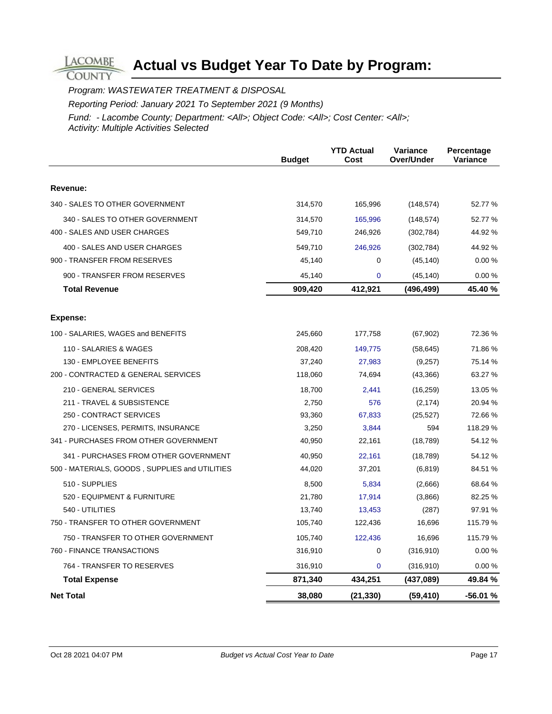**COUNTY** 

**LACOMBE** 

Program: WASTEWATER TREATMENT & DISPOSAL

Reporting Period: January 2021 To September 2021 (9 Months)

|                                                | <b>Budget</b> | <b>YTD Actual</b><br>Cost | Variance<br>Over/Under | Percentage<br>Variance |
|------------------------------------------------|---------------|---------------------------|------------------------|------------------------|
|                                                |               |                           |                        |                        |
| Revenue:                                       |               |                           |                        |                        |
| 340 - SALES TO OTHER GOVERNMENT                | 314,570       | 165,996                   | (148, 574)             | 52.77 %                |
| 340 - SALES TO OTHER GOVERNMENT                | 314,570       | 165,996                   | (148, 574)             | 52.77 %                |
| 400 - SALES AND USER CHARGES                   | 549,710       | 246,926                   | (302, 784)             | 44.92 %                |
| 400 - SALES AND USER CHARGES                   | 549,710       | 246,926                   | (302, 784)             | 44.92 %                |
| 900 - TRANSFER FROM RESERVES                   | 45,140        | 0                         | (45, 140)              | 0.00%                  |
| 900 - TRANSFER FROM RESERVES                   | 45,140        | 0                         | (45, 140)              | 0.00%                  |
| <b>Total Revenue</b>                           | 909,420       | 412,921                   | (496,499)              | 45.40 %                |
| Expense:                                       |               |                           |                        |                        |
| 100 - SALARIES, WAGES and BENEFITS             | 245,660       | 177,758                   | (67, 902)              | 72.36 %                |
| 110 - SALARIES & WAGES                         | 208,420       | 149,775                   | (58, 645)              | 71.86 %                |
| 130 - EMPLOYEE BENEFITS                        | 37,240        | 27,983                    | (9,257)                | 75.14 %                |
| 200 - CONTRACTED & GENERAL SERVICES            | 118,060       | 74,694                    | (43,366)               | 63.27 %                |
| 210 - GENERAL SERVICES                         | 18,700        | 2,441                     | (16, 259)              | 13.05 %                |
| 211 - TRAVEL & SUBSISTENCE                     | 2,750         | 576                       | (2, 174)               | 20.94 %                |
| 250 - CONTRACT SERVICES                        | 93,360        | 67,833                    | (25, 527)              | 72.66 %                |
| 270 - LICENSES, PERMITS, INSURANCE             | 3,250         | 3,844                     | 594                    | 118.29 %               |
| 341 - PURCHASES FROM OTHER GOVERNMENT          | 40,950        | 22,161                    | (18, 789)              | 54.12 %                |
| 341 - PURCHASES FROM OTHER GOVERNMENT          | 40,950        | 22,161                    | (18, 789)              | 54.12 %                |
| 500 - MATERIALS, GOODS, SUPPLIES and UTILITIES | 44,020        | 37,201                    | (6, 819)               | 84.51 %                |
| 510 - SUPPLIES                                 | 8,500         | 5,834                     | (2,666)                | 68.64 %                |
| 520 - EQUIPMENT & FURNITURE                    | 21,780        | 17,914                    | (3,866)                | 82.25 %                |
| 540 - UTILITIES                                | 13,740        | 13,453                    | (287)                  | 97.91 %                |
| 750 - TRANSFER TO OTHER GOVERNMENT             | 105,740       | 122,436                   | 16,696                 | 115.79 %               |
| 750 - TRANSFER TO OTHER GOVERNMENT             | 105,740       | 122,436                   | 16,696                 | 115.79 %               |
| 760 - FINANCE TRANSACTIONS                     | 316,910       | 0                         | (316, 910)             | 0.00%                  |
| 764 - TRANSFER TO RESERVES                     | 316,910       | 0                         | (316, 910)             | 0.00%                  |
| <b>Total Expense</b>                           | 871,340       | 434,251                   | (437,089)              | 49.84 %                |
| <b>Net Total</b>                               | 38,080        | (21, 330)                 | (59, 410)              | $-56.01%$              |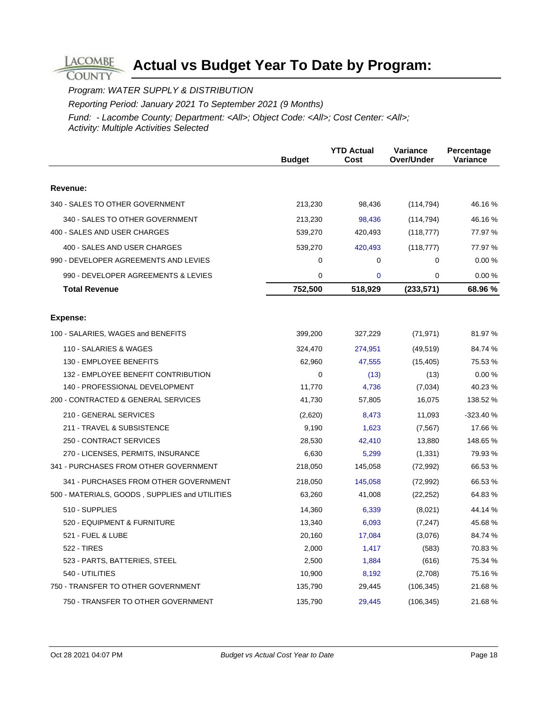Program: WATER SUPPLY & DISTRIBUTION

**LACOMBE COUNTY** 

Reporting Period: January 2021 To September 2021 (9 Months)

|                                                | <b>Budget</b> | <b>YTD Actual</b><br>Cost | Variance<br>Over/Under | Percentage<br>Variance |
|------------------------------------------------|---------------|---------------------------|------------------------|------------------------|
|                                                |               |                           |                        |                        |
| Revenue:                                       |               |                           |                        |                        |
| 340 - SALES TO OTHER GOVERNMENT                | 213,230       | 98,436                    | (114, 794)             | 46.16 %                |
| 340 - SALES TO OTHER GOVERNMENT                | 213,230       | 98,436                    | (114, 794)             | 46.16%                 |
| 400 - SALES AND USER CHARGES                   | 539,270       | 420,493                   | (118, 777)             | 77.97 %                |
| 400 - SALES AND USER CHARGES                   | 539,270       | 420,493                   | (118, 777)             | 77.97 %                |
| 990 - DEVELOPER AGREEMENTS AND LEVIES          | 0             | 0                         | $\mathbf 0$            | 0.00%                  |
| 990 - DEVELOPER AGREEMENTS & LEVIES            | 0             | $\overline{0}$            | $\mathbf 0$            | 0.00%                  |
| <b>Total Revenue</b>                           | 752,500       | 518,929                   | (233, 571)             | 68.96 %                |
| Expense:                                       |               |                           |                        |                        |
| 100 - SALARIES, WAGES and BENEFITS             | 399,200       | 327,229                   | (71, 971)              | 81.97 %                |
| 110 - SALARIES & WAGES                         | 324,470       | 274,951                   | (49, 519)              | 84.74 %                |
| 130 - EMPLOYEE BENEFITS                        | 62,960        | 47,555                    | (15, 405)              | 75.53 %                |
| 132 - EMPLOYEE BENEFIT CONTRIBUTION            | $\Omega$      | (13)                      | (13)                   | 0.00%                  |
| 140 - PROFESSIONAL DEVELOPMENT                 | 11,770        | 4,736                     | (7,034)                | 40.23 %                |
| 200 - CONTRACTED & GENERAL SERVICES            | 41,730        | 57,805                    | 16,075                 | 138.52 %               |
| 210 - GENERAL SERVICES                         | (2,620)       | 8,473                     | 11,093                 | $-323.40%$             |
| 211 - TRAVEL & SUBSISTENCE                     | 9,190         | 1,623                     | (7, 567)               | 17.66 %                |
| 250 - CONTRACT SERVICES                        | 28,530        | 42,410                    | 13,880                 | 148.65 %               |
| 270 - LICENSES, PERMITS, INSURANCE             | 6,630         | 5,299                     | (1, 331)               | 79.93 %                |
| 341 - PURCHASES FROM OTHER GOVERNMENT          | 218,050       | 145,058                   | (72, 992)              | 66.53 %                |
| 341 - PURCHASES FROM OTHER GOVERNMENT          | 218,050       | 145,058                   | (72, 992)              | 66.53 %                |
| 500 - MATERIALS, GOODS, SUPPLIES and UTILITIES | 63,260        | 41,008                    | (22, 252)              | 64.83%                 |
| 510 - SUPPLIES                                 | 14,360        | 6,339                     | (8,021)                | 44.14 %                |
| 520 - EQUIPMENT & FURNITURE                    | 13,340        | 6,093                     | (7, 247)               | 45.68%                 |
| 521 - FUEL & LUBE                              | 20,160        | 17,084                    | (3,076)                | 84.74 %                |
| <b>522 - TIRES</b>                             | 2,000         | 1,417                     | (583)                  | 70.83%                 |
| 523 - PARTS, BATTERIES, STEEL                  | 2,500         | 1,884                     | (616)                  | 75.34 %                |
| 540 - UTILITIES                                | 10,900        | 8,192                     | (2,708)                | 75.16 %                |
| 750 - TRANSFER TO OTHER GOVERNMENT             | 135,790       | 29,445                    | (106, 345)             | 21.68%                 |
| 750 - TRANSFER TO OTHER GOVERNMENT             | 135,790       | 29,445                    | (106, 345)             | 21.68%                 |